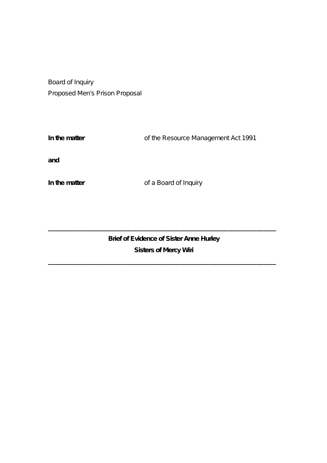Board of Inquiry Proposed Men's Prison Proposal

**In the matter** of the Resource Management Act 1991

**and**

**In the matter** of a Board of Inquiry

**Brief of Evidence of Sister Anne Hurley Sisters of Mercy Wiri**

**\_\_\_\_\_\_\_\_\_\_\_\_\_\_\_\_\_\_\_\_\_\_\_\_\_\_\_\_\_\_\_\_\_\_\_\_\_\_\_\_\_\_\_\_\_\_\_\_\_\_\_\_\_\_\_\_\_\_\_\_\_\_\_\_\_\_\_\_\_\_\_**

**\_\_\_\_\_\_\_\_\_\_\_\_\_\_\_\_\_\_\_\_\_\_\_\_\_\_\_\_\_\_\_\_\_\_\_\_\_\_\_\_\_\_\_\_\_\_\_\_\_\_\_\_\_\_\_\_\_\_\_\_\_\_\_\_\_\_\_\_\_\_\_**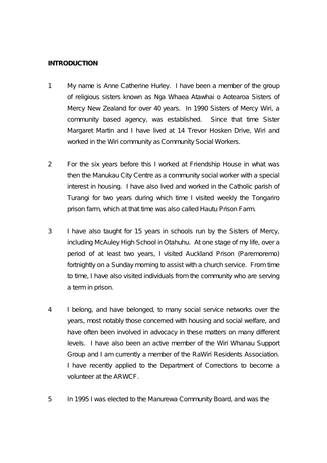### **INTRODUCTION**

- 1 My name is Anne Catherine Hurley. I have been a member of the group of religious sisters known as Nga Whaea Atawhai o Aotearoa Sisters of Mercy New Zealand for over 40 years. In 1990 Sisters of Mercy Wiri, a community based agency, was established. Since that time Sister Margaret Martin and I have lived at 14 Trevor Hosken Drive, Wiri and worked in the Wiri community as Community Social Workers.
- 2 For the six years before this I worked at Friendship House in what was then the Manukau City Centre as a community social worker with a special interest in housing. I have also lived and worked in the Catholic parish of Turangi for two years during which time I visited weekly the Tongariro prison farm, which at that time was also called Hautu Prison Farm.
- 3 I have also taught for 15 years in schools run by the Sisters of Mercy, including McAuley High School in Otahuhu. At one stage of my life, over a period of at least two years, I visited Auckland Prison (Paremoremo) fortnightly on a Sunday morning to assist with a church service. From time to time, I have also visited individuals from the community who are serving a term in prison.
- 4 I belong, and have belonged, to many social service networks over the years, most notably those concerned with housing and social welfare, and have often been involved in advocacy in these matters on many different levels. I have also been an active member of the Wiri Whanau Support Group and I am currently a member of the RaWiri Residents Association. I have recently applied to the Department of Corrections to become a volunteer at the ARWCF.
- 5 In 1995 I was elected to the Manurewa Community Board, and was the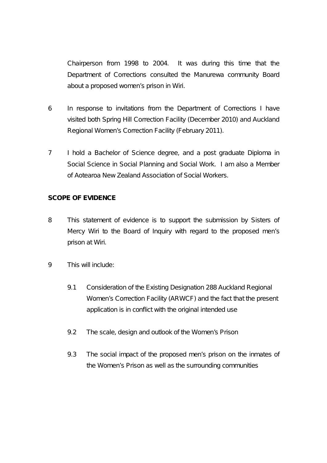Chairperson from 1998 to 2004. It was during this time that the Department of Corrections consulted the Manurewa community Board about a proposed women's prison in Wiri.

- 6 In response to invitations from the Department of Corrections I have visited both Spring Hill Correction Facility (December 2010) and Auckland Regional Women's Correction Facility (February 2011).
- 7 I hold a Bachelor of Science degree, and a post graduate Diploma in Social Science in Social Planning and Social Work. I am also a Member of Aotearoa New Zealand Association of Social Workers.

# **SCOPE OF EVIDENCE**

- 8 This statement of evidence is to support the submission by Sisters of Mercy Wiri to the Board of Inquiry with regard to the proposed men's prison at Wiri.
- 9 This will include:
	- 9.1 Consideration of the Existing Designation 288 Auckland Regional Women's Correction Facility (ARWCF) and the fact that the present application is in conflict with the original intended use
	- 9.2 The scale, design and outlook of the Women's Prison
	- 9.3 The social impact of the proposed men's prison on the inmates of the Women's Prison as well as the surrounding communities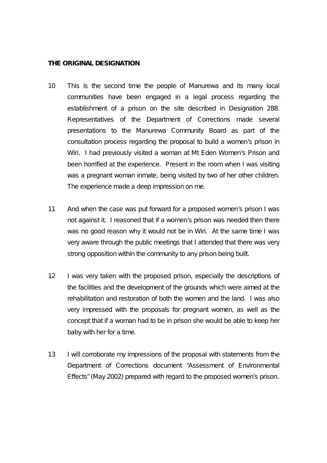## **THE ORIGINAL DESIGNATION**

- 10 This is the second time the people of Manurewa and its many local communities have been engaged in a legal process regarding the establishment of a prison on the site described in Designation 288. Representatives of the Department of Corrections made several presentations to the Manurewa Community Board as part of the consultation process regarding the proposal to build a women's prison in Wiri. I had previously visited a woman at Mt Eden Women's Prison and been horrified at the experience. Present in the room when I was visiting was a pregnant woman inmate, being visited by two of her other children. The experience made a deep impression on me.
- 11 And when the case was put forward for a proposed women's prison I was not against it. I reasoned that if a women's prison was needed then there was no good reason why it would not be in Wiri. At the same time I was very aware through the public meetings that I attended that there was very strong opposition within the community to any prison being built.
- 12 I was very taken with the proposed prison, especially the descriptions of the facilities and the development of the grounds which were aimed at the rehabilitation and restoration of both the women and the land. I was also very impressed with the proposals for pregnant women, as well as the concept that if a woman had to be in prison she would be able to keep her baby with her for a time.
- 13 I will corroborate my impressions of the proposal with statements from the Department of Corrections document "Assessment of Environmental Effects" (May 2002) prepared with regard to the proposed women's prison.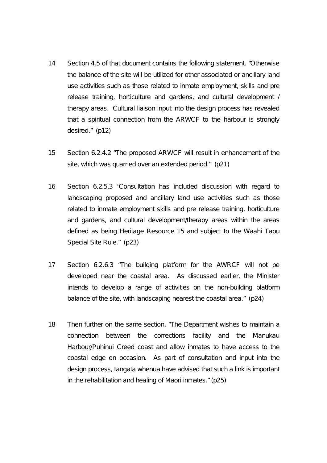- 14 Section 4.5 of that document contains the following statement. *"Otherwise the balance of the site will be utilized for other associated or ancillary land use activities such as those related to inmate employment, skills and pre release training, horticulture and gardens, and cultural development / therapy areas. Cultural liaison input into the design process has revealed that a spiritual connection from the ARWCF to the harbour is strongly desired."* (p12)
- 15 Section 6.2.4.2 "*The proposed ARWCF will result in enhancement of the site, which was quarried over an extended period."* (p21)
- 16 Section 6.2.5.3 "*Consultation has included discussion with regard to landscaping proposed and ancillary land use activities such as those related to inmate employment skills and pre release training, horticulture and gardens, and cultural development/therapy areas within the areas defined as being Heritage Resource 15 and subject to the Waahi Tapu Special Site Rule."* (p23)
- 17 Section 6.2.6.3 *"The building platform for the AWRCF will not be developed near the coastal area. As discussed earlier, the Minister intends to develop a range of activities on the non-building platform balance of the site, with landscaping nearest the coastal area."* (p24)
- 18 Then further on the same section, "*The Department wishes to maintain a connection between the corrections facility and the Manukau Harbour/Puhinui Creed coast and allow inmates to have access to the coastal edge on occasion. As part of consultation and input into the design process, tangata whenua have advised that such a link is important in the rehabilitation and healing of Maori inmates."* (p25)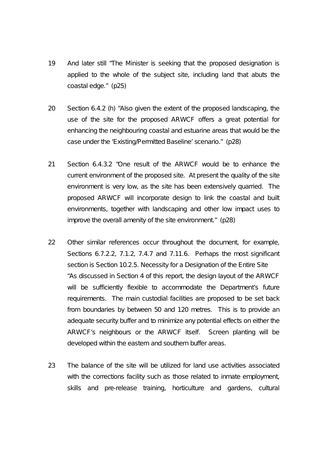- 19 And later still *"The Minister is seeking that the proposed designation is applied to the whole of the subject site, including land that abuts the coastal edge."* (p25)
- 20 Section 6.4.2 (h) *"Also given the extent of the proposed landscaping, the use of the site for the proposed ARWCF offers a great potential for enhancing the neighbouring coastal and estuarine areas that would be the case under the 'Existing/Permitted Baseline' scenario."* (p28)
- 21 Section 6.4.3.2 *"One result of the ARWCF would be to enhance the current environment of the proposed site. At present the quality of the site environment is very low, as the site has been extensively quarried. The proposed ARWCF will incorporate design to link the coastal and built environments, together with landscaping and other low impact uses to improve the overall amenity of the site environment."* (p28)
- 22 Other similar references occur throughout the document, for example, Sections 6.7.2.2, 7.1.2, 7.4.7 and 7.11.6. Perhaps the most significant section is Section 10.2.5. Necessity for a Designation of the Entire Site *"As discussed in Section 4 of this report, the design layout of the ARWCF will be sufficiently flexible to accommodate the Department's future requirements. The main custodial facilities are proposed to be set back from boundaries by between 50 and 120 metres. This is to provide an adequate security buffer and to minimize any potential effects on either the ARWCF's neighbours or the ARWCF itself. Screen planting will be developed within the eastern and southern buffer areas.*
- 23 *The balance of the site will be utilized for land use activities associated with the corrections facility such as those related to inmate employment, skills and pre-release training, horticulture and gardens, cultural*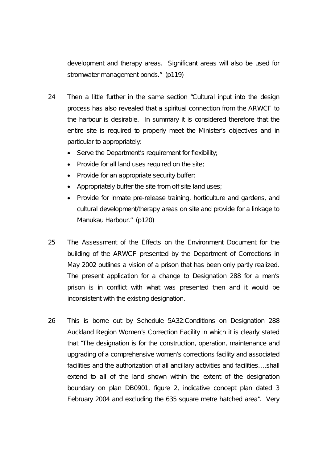*development and therapy areas. Significant areas will also be used for stromwater management ponds."* (p119)

- 24 Then a little further in the same section "*Cultural input into the design process has also revealed that a spiritual connection from the ARWCF to the harbour is desirable. In summary it is considered therefore that the entire site is required to properly meet the Minister's objectives and in particular to appropriately:*
	- *Serve the Department's requirement for flexibility;*
	- *Provide for all land uses required on the site;*
	- *Provide for an appropriate security buffer;*
	- *Appropriately buffer the site from off site land uses;*
	- *Provide for inmate pre-release training, horticulture and gardens, and cultural development/therapy areas on site and provide for a linkage to Manukau Harbour."* (p120)
- 25 The Assessment of the Effects on the Environment Document for the building of the ARWCF presented by the Department of Corrections in May 2002 outlines a vision of a prison that has been only partly realized. The present application for a change to Designation 288 for a men's prison is in conflict with what was presented then and it would be inconsistent with the existing designation.
- 26 This is borne out by Schedule 5A32:Conditions on Designation 288 Auckland Region Women's Correction Facility in which it is clearly stated that *"The designation is for the construction, operation, maintenance and upgrading of a comprehensive women's corrections facility and associated facilities and the authorization of all ancillary activities and facilities….shall extend to all of the land shown within the extent of the designation boundary on plan DB0901, figure 2, indicative concept plan dated 3 February 2004 and excluding the 635 square metre hatched area".* Very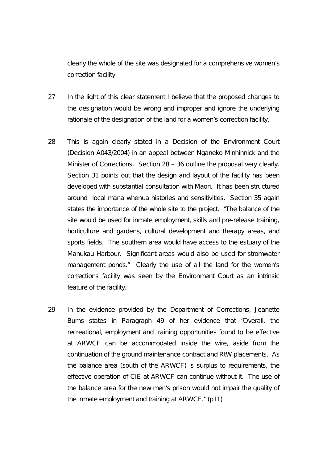clearly the whole of the site was designated for a comprehensive women's correction facility.

- 27 In the light of this clear statement I believe that the proposed changes to the designation would be wrong and improper and ignore the underlying rationale of the designation of the land for a women's correction facility.
- 28 This is again clearly stated in a Decision of the Environment Court (Decision A043/2004) in an appeal between Nganeko Minhinnick and the Minister of Corrections. Section 28 – 36 outline the proposal very clearly. Section 31 points out that the design and layout of the facility has been developed with substantial consultation with Maori. It has been structured around local mana whenua histories and sensitivities. Section 35 again states the importance of the whole site to the project. *"The balance of the site would be used for inmate employment, skills and pre-release training, horticulture and gardens, cultural development and therapy areas, and sports fields. The southern area would have access to the estuary of the Manukau Harbour. Significant areas would also be used for stromwater management ponds."* Clearly the use of all the land for the women's corrections facility was seen by the Environment Court as an intrinsic feature of the facility.
- 29 In the evidence provided by the Department of Corrections, Jeanette Burns states in Paragraph 49 of her evidence that "*Overall, the recreational, employment and training opportunities found to be effective at ARWCF can be accommodated inside the wire, aside from the continuation of the ground maintenance contract and RtW placements. As the balance area (south of the ARWCF) is surplus to requirements, the effective operation of CIE at ARWCF can continue without it. The use of the balance area for the new men's prison would not impair the quality of the inmate employment and training at ARWCF." (p11)*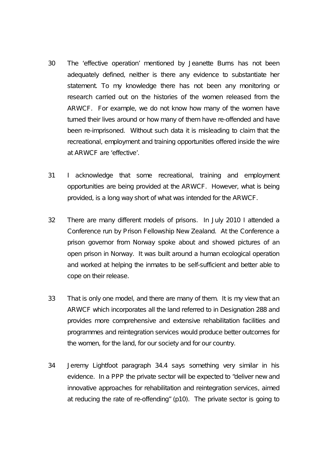- 30 The 'effective operation' mentioned by Jeanette Burns has not been adequately defined, neither is there any evidence to substantiate her statement. To my knowledge there has not been any monitoring or research carried out on the histories of the women released from the ARWCF. For example, we do not know how many of the women have turned their lives around or how many of them have re-offended and have been re-imprisoned. Without such data it is misleading to claim that the recreational, employment and training opportunities offered inside the wire at ARWCF are 'effective'.
- 31 I acknowledge that some recreational, training and employment opportunities are being provided at the ARWCF. However, what is being provided, is a long way short of what was intended for the ARWCF.
- 32 There are many different models of prisons. In July 2010 I attended a Conference run by Prison Fellowship New Zealand. At the Conference a prison governor from Norway spoke about and showed pictures of an open prison in Norway. It was built around a human ecological operation and worked at helping the inmates to be self-sufficient and better able to cope on their release.
- 33 That is only one model, and there are many of them. It is my view that an ARWCF which incorporates all the land referred to in Designation 288 and provides more comprehensive and extensive rehabilitation facilities and programmes and reintegration services would produce better outcomes for the women, for the land, for our society and for our country.
- 34 Jeremy Lightfoot paragraph 34.4 says something very similar in his evidence. In a PPP the private sector will be expected to *"deliver new and innovative approaches for rehabilitation and reintegration services, aimed at reducing the rate of re-offending"* (p10)*.* The private sector is going to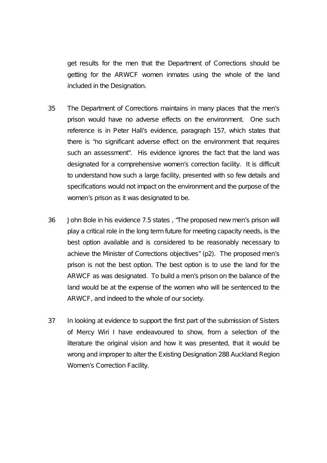get results for the men that the Department of Corrections should be getting for the ARWCF women inmates using the whole of the land included in the Designation.

- 35 The Department of Corrections maintains in many places that the men's prison would have no adverse effects on the environment. One such reference is in Peter Hall's evidence, paragraph 157, which states that there is *"no significant adverse effect on the environment that requires such an assessment".* His evidence ignores the fact that the land was designated for a comprehensive women's correction facility. It is difficult to understand how such a large facility, presented with so few details and specifications would not impact on the environment and the purpose of the women's prison as it was designated to be.
- 36 John Bole in his evidence 7.5 states , "*The proposed new men's prison will play a critical role in the long term future for meeting capacity needs, is the best option available and is considered to be reasonably necessary to achieve the Minister of Corrections objectives" (p2).* The proposed men's prison is not the best option. The best option is to use the land for the ARWCF as was designated. To build a men's prison on the balance of the land would be at the expense of the women who will be sentenced to the ARWCF, and indeed to the whole of our society.
- 37 In looking at evidence to support the first part of the submission of Sisters of Mercy Wiri I have endeavoured to show, from a selection of the literature the original vision and how it was presented, that it would be wrong and improper to alter the Existing Designation 288 Auckland Region Women's Correction Facility.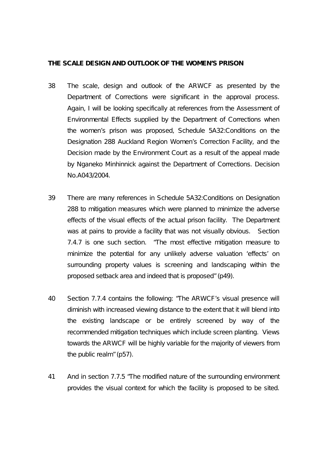### **THE SCALE DESIGN AND OUTLOOK OF THE WOMEN'S PRISON**

- 38 The scale, design and outlook of the ARWCF as presented by the Department of Corrections were significant in the approval process. Again, I will be looking specifically at references from the Assessment of Environmental Effects supplied by the Department of Corrections when the women's prison was proposed, Schedule 5A32:Conditions on the Designation 288 Auckland Region Women's Correction Facility, and the Decision made by the Environment Court as a result of the appeal made by Nganeko Minhinnick against the Department of Corrections. Decision No.A043/2004.
- 39 There are many references in Schedule 5A32:Conditions on Designation 288 to mitigation measures which were planned to minimize the adverse effects of the visual effects of the actual prison facility. The Department was at pains to provide a facility that was not visually obvious. Section 7.4.7 is one such section. *"The most effective mitigation measure to minimize the potential for any unlikely adverse valuation 'effects' on surrounding property values is screening and landscaping within the proposed setback area and indeed that is proposed"* (p49).
- 40 Section 7.7.4 contains the following: *"The ARWCF's visual presence will diminish with increased viewing distance to the extent that it will blend into the existing landscape or be entirely screened by way of the recommended mitigation techniques which include screen planting. Views towards the ARWCF will be highly variable for the majority of viewers from the public realm"* (p57)*.*
- 41 And in section 7.7.5 *"The modified nature of the surrounding environment provides the visual context for which the facility is proposed to be sited.*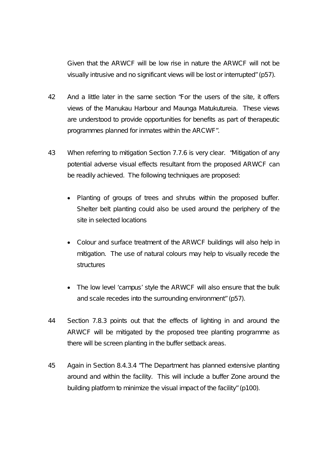*Given that the ARWCF will be low rise in nature the ARWCF will not be visually intrusive and no significant views will be lost or interrupted"* (p57).

- 42 And a little later in the same section *"For the users of the site, it offers views of the Manukau Harbour and Maunga Matukutureia. These views are understood to provide opportunities for benefits as part of therapeutic programmes planned for inmates within the ARCWF".*
- 43 When referring to mitigation Section 7.7.6 is very clear. *"Mitigation of any potential adverse visual effects resultant from the proposed ARWCF can be readily achieved. The following techniques are proposed:* 
	- *Planting of groups of trees and shrubs within the proposed buffer. Shelter belt planting could also be used around the periphery of the site in selected locations*
	- *Colour and surface treatment of the ARWCF buildings will also help in mitigation. The use of natural colours may help to visually recede the structures*
	- *The low level 'campus' style the ARWCF will also ensure that the bulk and scale recedes into the surrounding environment"* (p57).
- 44 Section 7.8.3 points out that the effects of lighting in and around the ARWCF will be mitigated by the proposed tree planting programme as there will be screen planting in the buffer setback areas.
- 45 Again in Section 8.4.3.4 *"The Department has planned extensive planting around and within the facility. This will include a buffer Zone around the building platform to minimize the visual impact of the facility"* (p100).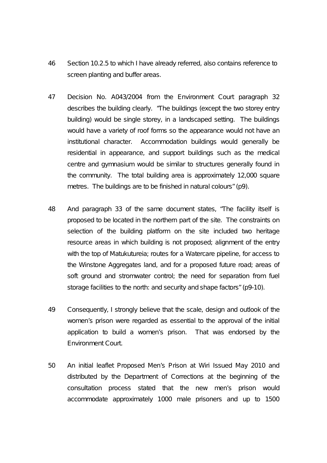- 46 Section 10.2.5 to which I have already referred, also contains reference to screen planting and buffer areas.
- 47 Decision No. A043/2004 from the Environment Court paragraph 32 describes the building clearly. *"The buildings (except the two storey entry building) would be single storey, in a landscaped setting. The buildings would have a variety of roof forms so the appearance would not have an institutional character. Accommodation buildings would generally be residential in appearance, and support buildings such as the medical centre and gymnasium would be similar to structures generally found in the community. The total building area is approximately 12,000 square metres. The buildings are to be finished in natural colours"* (p9).
- 48 And paragraph 33 of the same document states, *"The facility itself is proposed to be located in the northern part of the site. The constraints on selection of the building platform on the site included two heritage resource areas in which building is not proposed; alignment of the entry with the top of Matukutureia; routes for a Watercare pipeline, for access to the Winstone Aggregates land, and for a proposed future road; areas of soft ground and stromwater control; the need for separation from fuel storage facilities to the north: and security and shape factors"* (p9-10).
- 49 Consequently, I strongly believe that the scale, design and outlook of the women's prison were regarded as essential to the approval of the initial application to build a women's prison. That was endorsed by the Environment Court.
- 50 An initial leaflet Proposed Men's Prison at Wiri Issued May 2010 and distributed by the Department of Corrections at the beginning of the consultation process stated that the new men's prison would accommodate approximately 1000 male prisoners and up to 1500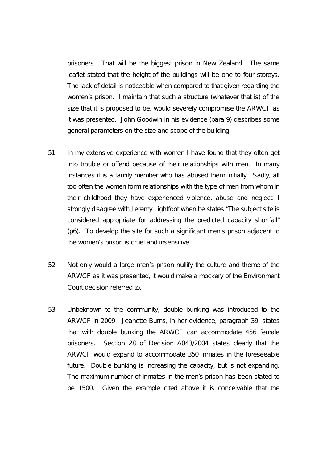prisoners. That will be the biggest prison in New Zealand. The same leaflet stated that the height of the buildings will be one to four storeys. The lack of detail is noticeable when compared to that given regarding the women's prison. I maintain that such a structure (whatever that is) of the size that it is proposed to be, would severely compromise the ARWCF as it was presented. John Goodwin in his evidence (para 9) describes some general parameters on the size and scope of the building.

- 51 In my extensive experience with women I have found that they often get into trouble or offend because of their relationships with men. In many instances it is a family member who has abused them initially. Sadly, all too often the women form relationships with the type of men from whom in their childhood they have experienced violence, abuse and neglect. I strongly disagree with Jeremy Lightfoot when he states *"The subject site is considered appropriate for addressing the predicted capacity shortfall"* (p6). To develop the site for such a significant men's prison adjacent to the women's prison is cruel and insensitive.
- 52 Not only would a large men's prison nullify the culture and theme of the ARWCF as it was presented, it would make a mockery of the Environment Court decision referred to.
- 53 Unbeknown to the community, double bunking was introduced to the ARWCF in 2009. Jeanette Burns, in her evidence, paragraph 39, states that with double bunking the ARWCF can accommodate 456 female prisoners. Section 28 of Decision A043/2004 states clearly that the ARWCF would expand to accommodate 350 inmates in the foreseeable future. Double bunking is increasing the capacity, but is not expanding. The maximum number of inmates in the men's prison has been stated to be 1500. Given the example cited above it is conceivable that the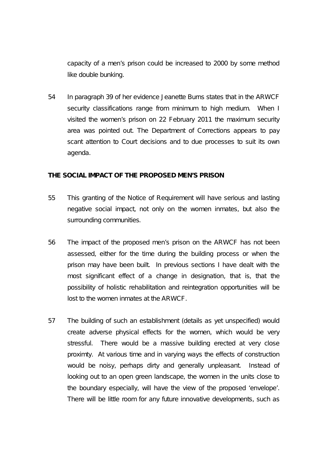capacity of a men's prison could be increased to 2000 by some method like double bunking.

54 In paragraph 39 of her evidence Jeanette Burns states that in the ARWCF security classifications range from minimum to high medium. When I visited the women's prison on 22 February 2011 the maximum security area was pointed out. The Department of Corrections appears to pay scant attention to Court decisions and to due processes to suit its own agenda.

# **THE SOCIAL IMPACT OF THE PROPOSED MEN'S PRISON**

- 55 This granting of the Notice of Requirement will have serious and lasting negative social impact, not only on the women inmates, but also the surrounding communities.
- 56 The impact of the proposed men's prison on the ARWCF has not been assessed, either for the time during the building process or when the prison may have been built. In previous sections I have dealt with the most significant effect of a change in designation, that is, that the possibility of holistic rehabilitation and reintegration opportunities will be lost to the women inmates at the ARWCF.
- 57 The building of such an establishment (details as yet unspecified) would create adverse physical effects for the women, which would be very stressful. There would be a massive building erected at very close proximty. At various time and in varying ways the effects of construction would be noisy, perhaps dirty and generally unpleasant. Instead of looking out to an open green landscape, the women in the units close to the boundary especially, will have the view of the proposed 'envelope'. There will be little room for any future innovative developments, such as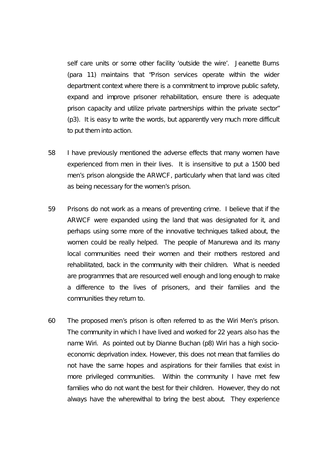self care units or some other facility 'outside the wire'. Jeanette Burns (para 11) maintains that *"Prison services operate within the wider department context where there is a commitment to improve public safety, expand and improve prisoner rehabilitation, ensure there is adequate prison capacity and utilize private partnerships within the private sector"* (p3)*.* It is easy to write the words, but apparently very much more difficult to put them into action.

- 58 I have previously mentioned the adverse effects that many women have experienced from men in their lives. It is insensitive to put a 1500 bed men's prison alongside the ARWCF, particularly when that land was cited as being necessary for the women's prison.
- 59 Prisons do not work as a means of preventing crime. I believe that if the ARWCF were expanded using the land that was designated for it, and perhaps using some more of the innovative techniques talked about, the women could be really helped. The people of Manurewa and its many local communities need their women and their mothers restored and rehabilitated, back in the community with their children. What is needed are programmes that are resourced well enough and long enough to make a difference to the lives of prisoners, and their families and the communities they return to.
- 60 The proposed men's prison is often referred to as the Wiri Men's prison. The community in which I have lived and worked for 22 years also has the name Wiri. As pointed out by Dianne Buchan (p8) Wiri has a high socioeconomic deprivation index. However, this does not mean that families do not have the same hopes and aspirations for their families that exist in more privileged communities. Within the community I have met few families who do not want the best for their children. However, they do not always have the wherewithal to bring the best about. They experience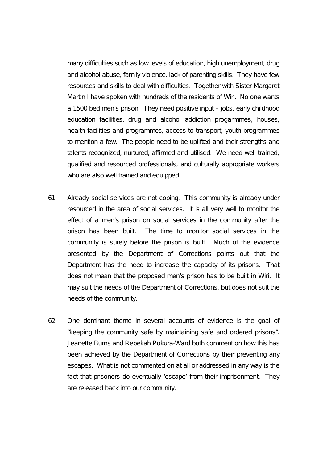many difficulties such as low levels of education, high unemployment, drug and alcohol abuse, family violence, lack of parenting skills. They have few resources and skills to deal with difficulties. Together with Sister Margaret Martin I have spoken with hundreds of the residents of Wiri. No one wants a 1500 bed men's prison. They need positive input – jobs, early childhood education facilities, drug and alcohol addiction progarmmes, houses, health facilities and programmes, access to transport, youth programmes to mention a few. The people need to be uplifted and their strengths and talents recognized, nurtured, affirmed and utilised. We need well trained, qualified and resourced professionals, and culturally appropriate workers who are also well trained and equipped.

- 61 Already social services are not coping. This community is already under resourced in the area of social services. It is all very well to monitor the effect of a men's prison on social services in the community after the prison has been built. The time to monitor social services in the community is surely before the prison is built. Much of the evidence presented by the Department of Corrections points out that the Department has the need to increase the capacity of its prisons. That does not mean that the proposed men's prison has to be built in Wiri. It may suit the needs of the Department of Corrections, but does not suit the needs of the community.
- 62 One dominant theme in several accounts of evidence is the goal of "keeping the community safe by maintaining safe and ordered prisons". Jeanette Burns and Rebekah Pokura-Ward both comment on how this has been achieved by the Department of Corrections by their preventing any escapes. What is not commented on at all or addressed in any way is the fact that prisoners do eventually 'escape' from their imprisonment. They are released back into our community.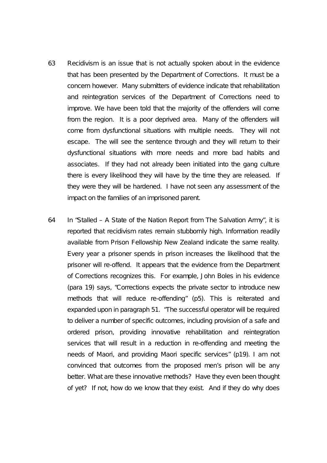- 63 Recidivism is an issue that is not actually spoken about in the evidence that has been presented by the Department of Corrections. It must be a concern however. Many submitters of evidence indicate that rehabilitation and reintegration services of the Department of Corrections need to improve. We have been told that the majority of the offenders will come from the region. It is a poor deprived area. Many of the offenders will come from dysfunctional situations with multiple needs. They will not escape. The will see the sentence through and they will return to their dysfunctional situations with more needs and more bad habits and associates. If they had not already been initiated into the gang culture there is every likelihood they will have by the time they are released. If they were they will be hardened. I have not seen any assessment of the impact on the families of an imprisoned parent.
- 64 In "Stalled A State of the Nation Report from The Salvation Army", it is reported that recidivism rates remain stubbornly high. Information readily available from Prison Fellowship New Zealand indicate the same reality. Every year a prisoner spends in prison increases the likelihood that the prisoner will re-offend. It appears that the evidence from the Department of Corrections recognizes this. For example, John Boles in his evidence (para 19) says, *"Corrections expects the private sector to introduce new methods that will reduce re-offending"* (p5). This is reiterated and expanded upon in paragraph 51. *"The successful operator will be required to deliver a number of specific outcomes, including provision of a safe and ordered prison, providing innovative rehabilitation and reintegration services that will result in a reduction in re-offending and meeting the needs of Maori, and providing Maori specific services"* (p19). I am not convinced that outcomes from the proposed men's prison will be any better. What are these innovative methods? Have they even been thought of yet? If not, how do we know that they exist. And if they do why does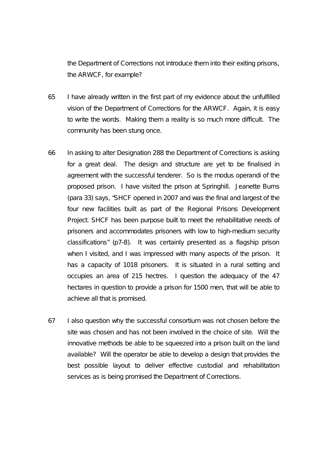the Department of Corrections not introduce them into their exiting prisons, the ARWCF, for example?

- 65 I have already written in the first part of my evidence about the unfulfilled vision of the Department of Corrections for the ARWCF. Again, it is easy to write the words. Making them a reality is so much more difficult. The community has been stung once.
- 66 In asking to alter Designation 288 the Department of Corrections is asking for a great deal. The design and structure are yet to be finalised in agreement with the successful tenderer. So is the modus operandi of the proposed prison. I have visited the prison at Springhill. Jeanette Burns (para 33) says, *"SHCF opened in 2007 and was the final and largest of the*  four new facilities built as part of the Regional Prisons Development *Project. SHCF has been purpose built to meet the rehabilitative needs of prisoners and accommodates prisoners with low to high-medium security classifications"* (p7-8). It was certainly presented as a flagship prison when I visited, and I was impressed with many aspects of the prison. It has a capacity of 1018 prisoners. It is situated in a rural setting and occupies an area of 215 hectres. I question the adequacy of the 47 hectares in question to provide a prison for 1500 men, that will be able to achieve all that is promised.
- 67 I also question why the successful consortium was not chosen before the site was chosen and has not been involved in the choice of site. Will the innovative methods be able to be squeezed into a prison built on the land available? Will the operator be able to develop a design that provides the best possible layout to deliver effective custodial and rehabilitation services as is being promised the Department of Corrections.